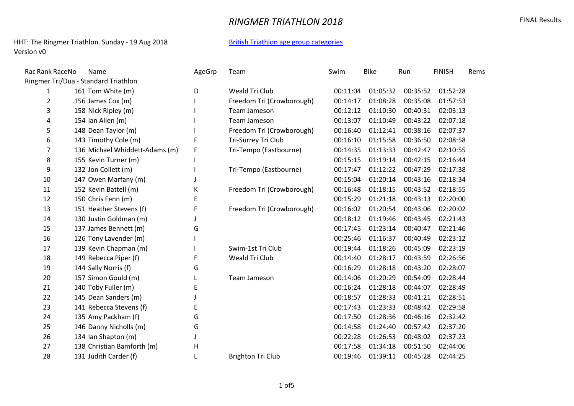## **RINGMER TRIATHLON 2018 EXAMPLE 2018**

#### HHT: The Ringmer Triathlon. Sunday - 19 Aug 2018 [British Triathlon age group categories](https://www.britishtriathlon.org/about-us/faqs?category=age-group) Version v0

| Rac Rank RaceNo | Name                                 | AgeGrp | Team                      | Swim     | <b>Bike</b> | Run      | <b>FINISH</b> | Rems |
|-----------------|--------------------------------------|--------|---------------------------|----------|-------------|----------|---------------|------|
|                 | Ringmer Tri/Dua - Standard Triathlon |        |                           |          |             |          |               |      |
| $\mathbf{1}$    | 161 Tom White (m)                    | D      | Weald Tri Club            | 00:11:04 | 01:05:32    | 00:35:52 | 01:52:28      |      |
| $\overline{2}$  | 156 James Cox (m)                    |        | Freedom Tri (Crowborough) | 00:14:17 | 01:08:28    | 00:35:08 | 01:57:53      |      |
| 3               | 158 Nick Ripley (m)                  |        | Team Jameson              | 00:12:12 | 01:10:30    | 00:40:31 | 02:03:13      |      |
| 4               | 154 Ian Allen (m)                    |        | Team Jameson              | 00:13:07 | 01:10:49    | 00:43:22 | 02:07:18      |      |
| 5               | 148 Dean Taylor (m)                  |        | Freedom Tri (Crowborough) | 00:16:40 | 01:12:41    | 00:38:16 | 02:07:37      |      |
| 6               | 143 Timothy Cole (m)                 | F      | Tri-Surrey Tri Club       | 00:16:10 | 01:15:58    | 00:36:50 | 02:08:58      |      |
| $\overline{7}$  | 136 Michael Whiddett-Adams (m)       | F      | Tri-Tempo (Eastbourne)    | 00:14:35 | 01:13:33    | 00:42:47 | 02:10:55      |      |
| 8               | 155 Kevin Turner (m)                 |        |                           | 00:15:15 | 01:19:14    | 00:42:15 | 02:16:44      |      |
| 9               | 132 Jon Collett (m)                  |        | Tri-Tempo (Eastbourne)    | 00:17:47 | 01:12:22    | 00:47:29 | 02:17:38      |      |
| 10              | 147 Owen Marfany (m)                 |        |                           | 00:15:04 | 01:20:14    | 00:43:16 | 02:18:34      |      |
| 11              | 152 Kevin Battell (m)                | К      | Freedom Tri (Crowborough) | 00:16:48 | 01:18:15    | 00:43:52 | 02:18:55      |      |
| 12              | 150 Chris Fenn (m)                   | E      |                           | 00:15:29 | 01:21:18    | 00:43:13 | 02:20:00      |      |
| 13              | 151 Heather Stevens (f)              | F      | Freedom Tri (Crowborough) | 00:16:02 | 01:20:54    | 00:43:06 | 02:20:02      |      |
| 14              | 130 Justin Goldman (m)               |        |                           | 00:18:12 | 01:19:46    | 00:43:45 | 02:21:43      |      |
| 15              | 137 James Bennett (m)                | G      |                           | 00:17:45 | 01:23:14    | 00:40:47 | 02:21:46      |      |
| 16              | 126 Tony Lavender (m)                |        |                           | 00:25:46 | 01:16:37    | 00:40:49 | 02:23:12      |      |
| 17              | 139 Kevin Chapman (m)                |        | Swim-1st Tri Club         | 00:19:44 | 01:18:26    | 00:45:09 | 02:23:19      |      |
| 18              | 149 Rebecca Piper (f)                | F      | Weald Tri Club            | 00:14:40 | 01:28:17    | 00:43:59 | 02:26:56      |      |
| 19              | 144 Sally Norris (f)                 | G      |                           | 00:16:29 | 01:28:18    | 00:43:20 | 02:28:07      |      |
| 20              | 157 Simon Gould (m)                  |        | Team Jameson              | 00:14:06 | 01:20:29    | 00:54:09 | 02:28:44      |      |
| 21              | 140 Toby Fuller (m)                  | E      |                           | 00:16:24 | 01:28:18    | 00:44:07 | 02:28:49      |      |
| 22              | 145 Dean Sanders (m)                 |        |                           | 00:18:57 | 01:28:33    | 00:41:21 | 02:28:51      |      |
| 23              | 141 Rebecca Stevens (f)              | E      |                           | 00:17:43 | 01:23:33    | 00:48:42 | 02:29:58      |      |
| 24              | 135 Amy Packham (f)                  | G      |                           | 00:17:50 | 01:28:36    | 00:46:16 | 02:32:42      |      |
| 25              | 146 Danny Nicholls (m)               | G      |                           | 00:14:58 | 01:24:40    | 00:57:42 | 02:37:20      |      |
| 26              | 134 Ian Shapton (m)                  |        |                           | 00:22:28 | 01:26:53    | 00:48:02 | 02:37:23      |      |
| 27              | 138 Christian Bamforth (m)           | н      |                           | 00:17:58 | 01:34:18    | 00:51:50 | 02:44:06      |      |
| 28              | 131 Judith Carder (f)                |        | <b>Brighton Tri Club</b>  | 00:19:46 | 01:39:11    | 00:45:28 | 02:44:25      |      |
|                 |                                      |        |                           |          |             |          |               |      |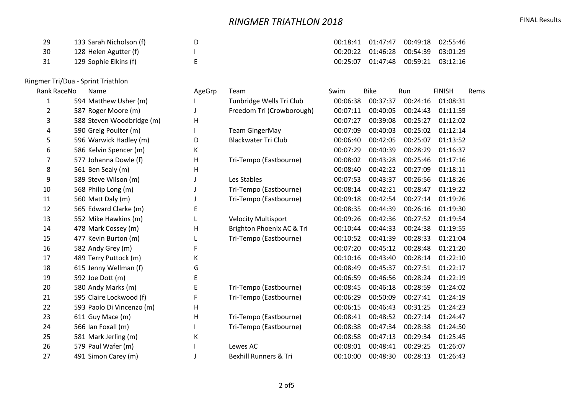# **RINGMER TRIATHLON 2018 EINAL Results**

| -29  | 133 Sarah Nicholson (f) |  | 00:18:41  01:47:47  00:49:18  02:55:46 |  |
|------|-------------------------|--|----------------------------------------|--|
| - 30 | 128 Helen Agutter (f)   |  | 00:20:22  01:46:28  00:54:39  03:01:29 |  |
| 31   | 129 Sophie Elkins (f)   |  | 00:25:07  01:47:48  00:59:21  03:12:16 |  |

### Ringmer Tri/Dua - Sprint Triathlon

| Rank RaceNo    | Name                      | AgeGrp | Team                             | Swim     | <b>Bike</b> | Run      | <b>FINISH</b> | Rems |
|----------------|---------------------------|--------|----------------------------------|----------|-------------|----------|---------------|------|
| 1              | 594 Matthew Usher (m)     |        | Tunbridge Wells Tri Club         | 00:06:38 | 00:37:37    | 00:24:16 | 01:08:31      |      |
| $\overline{2}$ | 587 Roger Moore (m)       |        | Freedom Tri (Crowborough)        | 00:07:11 | 00:40:05    | 00:24:43 | 01:11:59      |      |
| 3              | 588 Steven Woodbridge (m) | н      |                                  | 00:07:27 | 00:39:08    | 00:25:27 | 01:12:02      |      |
| 4              | 590 Greig Poulter (m)     |        | <b>Team GingerMay</b>            | 00:07:09 | 00:40:03    | 00:25:02 | 01:12:14      |      |
| 5              | 596 Warwick Hadley (m)    | D      | <b>Blackwater Tri Club</b>       | 00:06:40 | 00:42:05    | 00:25:07 | 01:13:52      |      |
| 6              | 586 Kelvin Spencer (m)    | К      |                                  | 00:07:29 | 00:40:39    | 00:28:29 | 01:16:37      |      |
| 7              | 577 Johanna Dowle (f)     | Η      | Tri-Tempo (Eastbourne)           | 00:08:02 | 00:43:28    | 00:25:46 | 01:17:16      |      |
| 8              | 561 Ben Sealy (m)         | H      |                                  | 00:08:40 | 00:42:22    | 00:27:09 | 01:18:11      |      |
| 9              | 589 Steve Wilson (m)      |        | Les Stables                      | 00:07:53 | 00:43:37    | 00:26:56 | 01:18:26      |      |
| 10             | 568 Philip Long (m)       |        | Tri-Tempo (Eastbourne)           | 00:08:14 | 00:42:21    | 00:28:47 | 01:19:22      |      |
| 11             | 560 Matt Daly (m)         |        | Tri-Tempo (Eastbourne)           | 00:09:18 | 00:42:54    | 00:27:14 | 01:19:26      |      |
| 12             | 565 Edward Clarke (m)     | E      |                                  | 00:08:35 | 00:44:39    | 00:26:16 | 01:19:30      |      |
| 13             | 552 Mike Hawkins (m)      | L      | <b>Velocity Multisport</b>       | 00:09:26 | 00:42:36    | 00:27:52 | 01:19:54      |      |
| 14             | 478 Mark Cossey (m)       | н      | Brighton Phoenix AC & Tri        | 00:10:44 | 00:44:33    | 00:24:38 | 01:19:55      |      |
| 15             | 477 Kevin Burton (m)      |        | Tri-Tempo (Eastbourne)           | 00:10:52 | 00:41:39    | 00:28:33 | 01:21:04      |      |
| 16             | 582 Andy Grey (m)         | F      |                                  | 00:07:20 | 00:45:12    | 00:28:48 | 01:21:20      |      |
| 17             | 489 Terry Puttock (m)     | К      |                                  | 00:10:16 | 00:43:40    | 00:28:14 | 01:22:10      |      |
| 18             | 615 Jenny Wellman (f)     | G      |                                  | 00:08:49 | 00:45:37    | 00:27:51 | 01:22:17      |      |
| 19             | 592 Joe Dott (m)          | E      |                                  | 00:06:59 | 00:46:56    | 00:28:24 | 01:22:19      |      |
| 20             | 580 Andy Marks (m)        | E      | Tri-Tempo (Eastbourne)           | 00:08:45 | 00:46:18    | 00:28:59 | 01:24:02      |      |
| 21             | 595 Claire Lockwood (f)   | F      | Tri-Tempo (Eastbourne)           | 00:06:29 | 00:50:09    | 00:27:41 | 01:24:19      |      |
| 22             | 593 Paolo Di Vincenzo (m) | H      |                                  | 00:06:15 | 00:46:43    | 00:31:25 | 01:24:23      |      |
| 23             | 611 Guy Mace (m)          | H      | Tri-Tempo (Eastbourne)           | 00:08:41 | 00:48:52    | 00:27:14 | 01:24:47      |      |
| 24             | 566 Ian Foxall (m)        |        | Tri-Tempo (Eastbourne)           | 00:08:38 | 00:47:34    | 00:28:38 | 01:24:50      |      |
| 25             | 581 Mark Jerling (m)      | К      |                                  | 00:08:58 | 00:47:13    | 00:29:34 | 01:25:45      |      |
| 26             | 579 Paul Wafer (m)        |        | Lewes AC                         | 00:08:01 | 00:48:41    | 00:29:25 | 01:26:07      |      |
| 27             | 491 Simon Carey (m)       |        | <b>Bexhill Runners &amp; Tri</b> | 00:10:00 | 00:48:30    | 00:28:13 | 01:26:43      |      |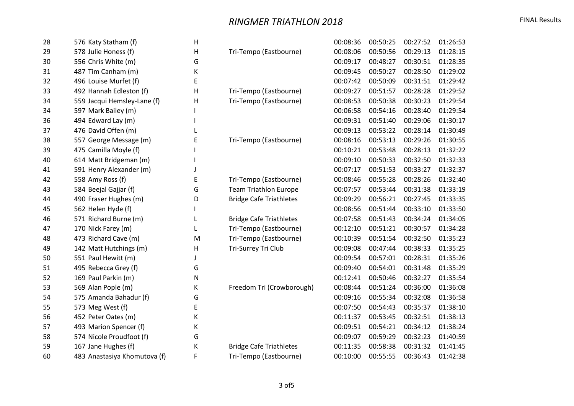## **RINGMER TRIATHLON 2018 EXAMPLE 2018**

| 28 | 576 Katy Statham (f)         | н |                                | 00:08:36 | 00:50:25 | 00:27:52 | 01:26:53 |
|----|------------------------------|---|--------------------------------|----------|----------|----------|----------|
| 29 | 578 Julie Honess (f)         | H | Tri-Tempo (Eastbourne)         | 00:08:06 | 00:50:56 | 00:29:13 | 01:28:15 |
| 30 | 556 Chris White (m)          | G |                                | 00:09:17 | 00:48:27 | 00:30:51 | 01:28:35 |
| 31 | 487 Tim Canham (m)           | K |                                | 00:09:45 | 00:50:27 | 00:28:50 | 01:29:02 |
| 32 | 496 Louise Murfet (f)        | E |                                | 00:07:42 | 00:50:09 | 00:31:51 | 01:29:42 |
| 33 | 492 Hannah Edleston (f)      | Н | Tri-Tempo (Eastbourne)         | 00:09:27 | 00:51:57 | 00:28:28 | 01:29:52 |
| 34 | 559 Jacqui Hemsley-Lane (f)  | Н | Tri-Tempo (Eastbourne)         | 00:08:53 | 00:50:38 | 00:30:23 | 01:29:54 |
| 34 | 597 Mark Bailey (m)          |   |                                | 00:06:58 | 00:54:16 | 00:28:40 | 01:29:54 |
| 36 | 494 Edward Lay (m)           |   |                                | 00:09:31 | 00:51:40 | 00:29:06 | 01:30:17 |
| 37 | 476 David Offen (m)          |   |                                | 00:09:13 | 00:53:22 | 00:28:14 | 01:30:49 |
| 38 | 557 George Message (m)       | E | Tri-Tempo (Eastbourne)         | 00:08:16 | 00:53:13 | 00:29:26 | 01:30:55 |
| 39 | 475 Camilla Moyle (f)        |   |                                | 00:10:21 | 00:53:48 | 00:28:13 | 01:32:22 |
| 40 | 614 Matt Bridgeman (m)       |   |                                | 00:09:10 | 00:50:33 | 00:32:50 | 01:32:33 |
| 41 | 591 Henry Alexander (m)      |   |                                | 00:07:17 | 00:51:53 | 00:33:27 | 01:32:37 |
| 42 | 558 Amy Ross (f)             | E | Tri-Tempo (Eastbourne)         | 00:08:46 | 00:55:28 | 00:28:26 | 01:32:40 |
| 43 | 584 Beejal Gajjar (f)        | G | <b>Team Triathlon Europe</b>   | 00:07:57 | 00:53:44 | 00:31:38 | 01:33:19 |
| 44 | 490 Fraser Hughes (m)        | D | <b>Bridge Cafe Triathletes</b> | 00:09:29 | 00:56:21 | 00:27:45 | 01:33:35 |
| 45 | 562 Helen Hyde (f)           |   |                                | 00:08:56 | 00:51:44 | 00:33:10 | 01:33:50 |
| 46 | 571 Richard Burne (m)        | L | <b>Bridge Cafe Triathletes</b> | 00:07:58 | 00:51:43 | 00:34:24 | 01:34:05 |
| 47 | 170 Nick Farey (m)           | L | Tri-Tempo (Eastbourne)         | 00:12:10 | 00:51:21 | 00:30:57 | 01:34:28 |
| 48 | 473 Richard Cave (m)         | M | Tri-Tempo (Eastbourne)         | 00:10:39 | 00:51:54 | 00:32:50 | 01:35:23 |
| 49 | 142 Matt Hutchings (m)       | H | Tri-Surrey Tri Club            | 00:09:08 | 00:47:44 | 00:38:33 | 01:35:25 |
| 50 | 551 Paul Hewitt (m)          |   |                                | 00:09:54 | 00:57:01 | 00:28:31 | 01:35:26 |
| 51 | 495 Rebecca Grey (f)         | G |                                | 00:09:40 | 00:54:01 | 00:31:48 | 01:35:29 |
| 52 | 169 Paul Parkin (m)          | N |                                | 00:12:41 | 00:50:46 | 00:32:27 | 01:35:54 |
| 53 | 569 Alan Pople (m)           | Κ | Freedom Tri (Crowborough)      | 00:08:44 | 00:51:24 | 00:36:00 | 01:36:08 |
| 54 | 575 Amanda Bahadur (f)       | G |                                | 00:09:16 | 00:55:34 | 00:32:08 | 01:36:58 |
| 55 | 573 Meg West (f)             | E |                                | 00:07:50 | 00:54:43 | 00:35:37 | 01:38:10 |
| 56 | 452 Peter Oates (m)          | K |                                | 00:11:37 | 00:53:45 | 00:32:51 | 01:38:13 |
| 57 | 493 Marion Spencer (f)       | К |                                | 00:09:51 | 00:54:21 | 00:34:12 | 01:38:24 |
| 58 | 574 Nicole Proudfoot (f)     | G |                                | 00:09:07 | 00:59:29 | 00:32:23 | 01:40:59 |
| 59 | 167 Jane Hughes (f)          | К | <b>Bridge Cafe Triathletes</b> | 00:11:35 | 00:58:38 | 00:31:32 | 01:41:45 |
| 60 | 483 Anastasiya Khomutova (f) | F | Tri-Tempo (Eastbourne)         | 00:10:00 | 00:55:55 | 00:36:43 | 01:42:38 |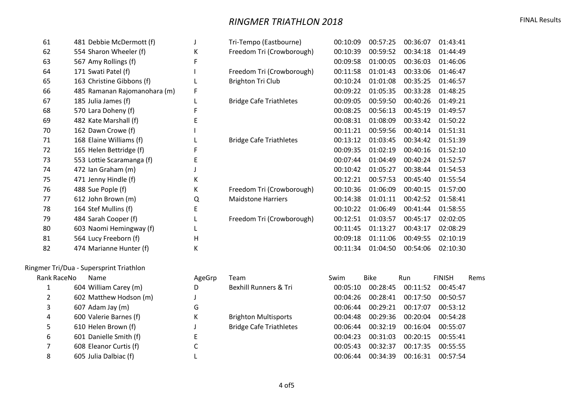## **RINGMER TRIATHLON 2018 EINAL Results** FINAL Results

| 61  | 481 Debbie McDermott (f)     |   | Tri-Tempo (Eastbourne)         | 00:10:09 | 00:57:25 | 00:36:07 | 01:43:41 |  |
|-----|------------------------------|---|--------------------------------|----------|----------|----------|----------|--|
| 62  | 554 Sharon Wheeler (f)       | К | Freedom Tri (Crowborough)      | 00:10:39 | 00:59:52 | 00:34:18 | 01:44:49 |  |
| 63  | 567 Amy Rollings (f)         |   |                                | 00:09:58 | 01:00:05 | 00:36:03 | 01:46:06 |  |
| 64  | 171 Swati Patel (f)          |   | Freedom Tri (Crowborough)      | 00:11:58 | 01:01:43 | 00:33:06 | 01:46:47 |  |
| 65  | 163 Christine Gibbons (f)    |   | Brighton Tri Club              | 00:10:24 | 01:01:08 | 00:35:25 | 01:46:57 |  |
| 66  | 485 Ramanan Rajomanohara (m) | F |                                | 00:09:22 | 01:05:35 | 00:33:28 | 01:48:25 |  |
| 67  | 185 Julia James (f)          |   | <b>Bridge Cafe Triathletes</b> | 00:09:05 | 00:59:50 | 00:40:26 | 01:49:21 |  |
| 68  | 570 Lara Doheny (f)          |   |                                | 00:08:25 | 00:56:13 | 00:45:19 | 01:49:57 |  |
| 69  | 482 Kate Marshall (f)        |   |                                | 00:08:31 | 01:08:09 | 00:33:42 | 01:50:22 |  |
| 70  | 162 Dawn Crowe (f)           |   |                                | 00:11:21 | 00:59:56 | 00:40:14 | 01:51:31 |  |
| 71  | 168 Elaine Williams (f)      |   | <b>Bridge Cafe Triathletes</b> | 00:13:12 | 01:03:45 | 00:34:42 | 01:51:39 |  |
| 72. | 165 Helen Bettridge (f)      |   |                                | 00:09:35 | 01:02:19 | 00:40:16 | 01:52:10 |  |
| 73  | 553 Lottie Scaramanga (f)    |   |                                | 00:07:44 | 01:04:49 | 00:40:24 | 01:52:57 |  |
| 74  | 472 Ian Graham (m)           |   |                                | 00:10:42 | 01:05:27 | 00:38:44 | 01:54:53 |  |
| 75  | 471 Jenny Hindle (f)         | К |                                | 00:12:21 | 00:57:53 | 00:45:40 | 01:55:54 |  |
| 76  | 488 Sue Pople (f)            | К | Freedom Tri (Crowborough)      | 00:10:36 | 01:06:09 | 00:40:15 | 01:57:00 |  |
| 77  | 612 John Brown (m)           | Q | <b>Maidstone Harriers</b>      | 00:14:38 | 01:01:11 | 00:42:52 | 01:58:41 |  |

 164 Stef Mullins (f) E 00:10:22 01:06:49 00:41:44 01:58:55 484 Sarah Cooper (f) L Freedom Tri (Crowborough) 00:12:51 01:03:57 00:45:17 02:02:05

| 80 | 603 Naomi Hemingway (f) |
|----|-------------------------|
| 81 | 564 Lucy Freeborn (f)   |
| 82 | 474 Marianne Hunter (f) |

| Ringmer Tri/Dua - Supersprint Triathlon |  |  |  |  |  |  |
|-----------------------------------------|--|--|--|--|--|--|
| Rank RaceNo<br>Name                     |  |  |  |  |  |  |
| 604 William Carey (m)                   |  |  |  |  |  |  |
| 602 Matthew Hodson (m)                  |  |  |  |  |  |  |
| 607 Adam Jay (m)                        |  |  |  |  |  |  |
|                                         |  |  |  |  |  |  |

|             | mer Tri/Dua - Supersprint Triathlon |        |                                |          |             |          |               |      |
|-------------|-------------------------------------|--------|--------------------------------|----------|-------------|----------|---------------|------|
| Rank RaceNo | Name                                | AgeGrp | Team                           | Swim     | <b>Bike</b> | Run      | <b>FINISH</b> | Rems |
|             | 604 William Carey (m)               | D      | Bexhill Runners & Tri          | 00:05:10 | 00:28:45    | 00:11:52 | 00:45:47      |      |
|             | 602 Matthew Hodson (m)              |        |                                | 00:04:26 | 00:28:41    | 00:17:50 | 00:50:57      |      |
| 3           | $607$ Adam Jay $(m)$                | G      |                                | 00:06:44 | 00:29:21    | 00:17:07 | 00:53:12      |      |
| 4           | 600 Valerie Barnes (f)              | К      | <b>Brighton Multisports</b>    | 00:04:48 | 00:29:36    | 00:20:04 | 00:54:28      |      |
| 5.          | 610 Helen Brown (f)                 |        | <b>Bridge Cafe Triathletes</b> | 00:06:44 | 00:32:19    | 00:16:04 | 00:55:07      |      |
| 6           | 601 Danielle Smith (f)              | E      |                                | 00:04:23 | 00:31:03    | 00:20:15 | 00:55:41      |      |
|             | 608 Eleanor Curtis (f)              | C      |                                | 00:05:43 | 00:32:37    | 00:17:35 | 00:55:55      |      |
| 8           | 605 Julia Dalbiac (f)               |        |                                | 00:06:44 | 00:34:39    | 00:16:31 | 00:57:54      |      |

 603 Naomi Hemingway (f) L 00:11:45 01:13:27 00:43:17 02:08:29 81 11:06 00:09:18 00:09:18 01:11:06 00:49:55 02:10:19 474 Marianne Hunter (f) K 00:11:34 01:04:50 00:54:06 02:10:30